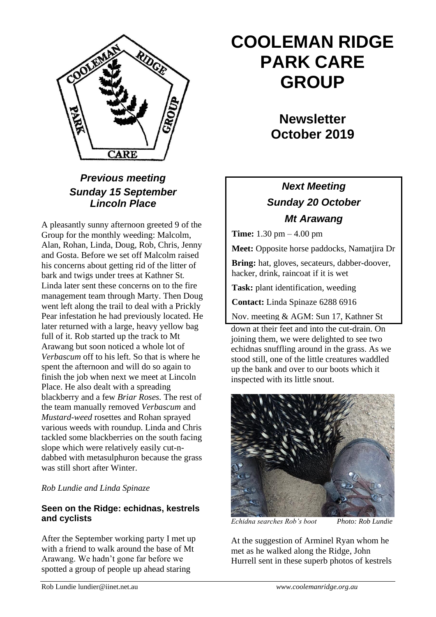

## *Previous meeting Sunday 15 September Lincoln Place*

A pleasantly sunny afternoon greeted 9 of the Group for the monthly weeding: Malcolm, Alan, Rohan, Linda, Doug, Rob, Chris, Jenny and Gosta. Before we set off Malcolm raised his concerns about getting rid of the litter of bark and twigs under trees at Kathner St*.* Linda later sent these concerns on to the fire management team through Marty. Then Doug went left along the trail to deal with a Prickly Pear infestation he had previously located. He later returned with a large, heavy yellow bag full of it. Rob started up the track to Mt Arawang but soon noticed a whole lot of *Verbascum* off to his left. So that is where he spent the afternoon and will do so again to finish the job when next we meet at Lincoln Place. He also dealt with a spreading blackberry and a few *Briar Roses.* The rest of the team manually removed *Verbascum* and *Mustard-weed* rosettes and Rohan sprayed various weeds with roundup. Linda and Chris tackled some blackberries on the south facing slope which were relatively easily cut-ndabbed with metasulphuron because the grass was still short after Winter.

*Rob Lundie and Linda Spinaze*

#### **Seen on the Ridge: echidnas, kestrels and cyclists**

After the September working party I met up with a friend to walk around the base of Mt Arawang. We hadn't gone far before we spotted a group of people up ahead staring

# **COOLEMAN RIDGE PARK CARE GROUP**

**Newsletter October 2019** 

# *Next Meeting Sunday 20 October Mt Arawang*

**Time:** 1.30 pm – 4.00 pm

**Meet:** Opposite horse paddocks, Namatjira Dr

**Bring:** hat, gloves, secateurs, dabber-doover, hacker, drink, raincoat if it is wet

**Task:** plant identification, weeding

**Contact:** Linda Spinaze 6288 6916

Nov. meeting & AGM: Sun 17, Kathner St

down at their feet and into the cut-drain. On joining them, we were delighted to see two echidnas snuffling around in the grass. As we stood still, one of the little creatures waddled up the bank and over to our boots which it inspected with its little snout.



*Echidna searches Rob's boot Photo: Rob Lundie*

At the suggestion of Arminel Ryan whom he met as he walked along the Ridge, John Hurrell sent in these superb photos of kestrels